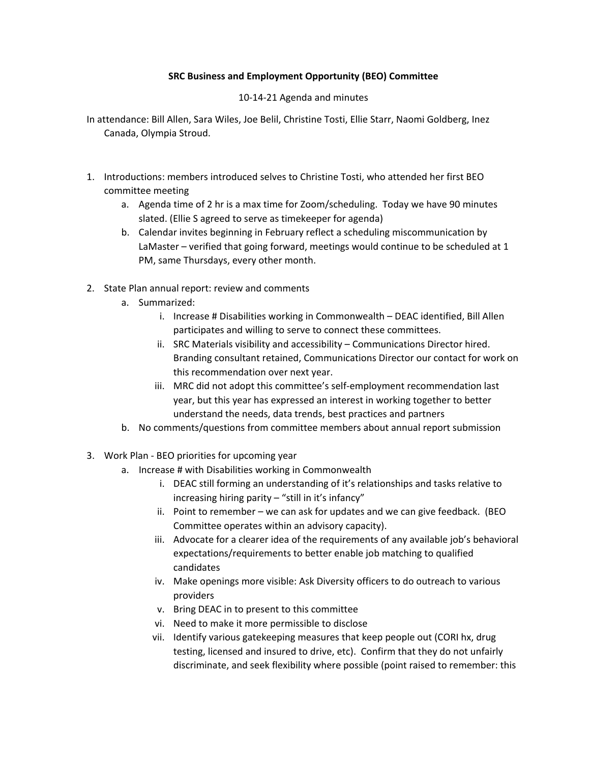## **SRC Business and Employment Opportunity (BEO) Committee**

10-14-21 Agenda and minutes

- In attendance: Bill Allen, Sara Wiles, Joe Belil, Christine Tosti, Ellie Starr, Naomi Goldberg, Inez Canada, Olympia Stroud.
- 1. Introductions: members introduced selves to Christine Tosti, who attended her first BEO committee meeting
	- a. Agenda time of 2 hr is a max time for Zoom/scheduling. Today we have 90 minutes slated. (Ellie S agreed to serve as timekeeper for agenda)
	- b. Calendar invites beginning in February reflect a scheduling miscommunication by LaMaster – verified that going forward, meetings would continue to be scheduled at 1 PM, same Thursdays, every other month.
- 2. State Plan annual report: review and comments
	- a. Summarized:
		- i. Increase # Disabilities working in Commonwealth DEAC identified, Bill Allen participates and willing to serve to connect these committees.
		- ii. SRC Materials visibility and accessibility Communications Director hired. Branding consultant retained, Communications Director our contact for work on this recommendation over next year.
		- iii. MRC did not adopt this committee's self-employment recommendation last year, but this year has expressed an interest in working together to better understand the needs, data trends, best practices and partners
	- b. No comments/questions from committee members about annual report submission
- 3. Work Plan BEO priorities for upcoming year
	- a. Increase # with Disabilities working in Commonwealth
		- i. DEAC still forming an understanding of it's relationships and tasks relative to increasing hiring parity – "still in it's infancy"
		- ii. Point to remember we can ask for updates and we can give feedback. (BEO Committee operates within an advisory capacity).
		- iii. Advocate for a clearer idea of the requirements of any available job's behavioral expectations/requirements to better enable job matching to qualified candidates
		- iv. Make openings more visible: Ask Diversity officers to do outreach to various providers
		- v. Bring DEAC in to present to this committee
		- vi. Need to make it more permissible to disclose
		- vii. Identify various gatekeeping measures that keep people out (CORI hx, drug testing, licensed and insured to drive, etc). Confirm that they do not unfairly discriminate, and seek flexibility where possible (point raised to remember: this